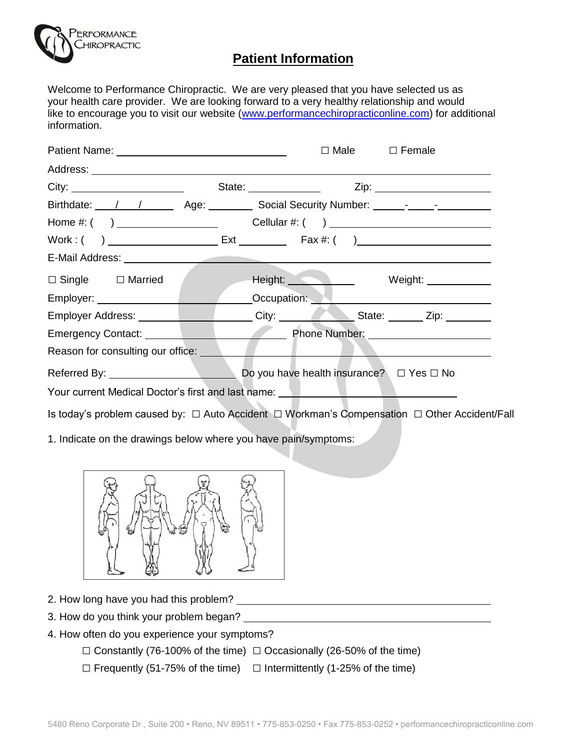

## **Patient Information**

Welcome to Performance Chiropractic. We are very pleased that you have selected us as your health care provider. We are looking forward to a very healthy relationship and would like to encourage you to visit our website [\(www.performancechiropracticonline.com\)](http://www.performancechiropracticonline.com/) for additional information.

|                                                                                                           | $\Box$ Male $\Box$ Female |                                                                                                                                                                                                                                      |
|-----------------------------------------------------------------------------------------------------------|---------------------------|--------------------------------------------------------------------------------------------------------------------------------------------------------------------------------------------------------------------------------------|
|                                                                                                           |                           |                                                                                                                                                                                                                                      |
|                                                                                                           |                           |                                                                                                                                                                                                                                      |
|                                                                                                           |                           |                                                                                                                                                                                                                                      |
|                                                                                                           |                           |                                                                                                                                                                                                                                      |
|                                                                                                           |                           |                                                                                                                                                                                                                                      |
|                                                                                                           |                           |                                                                                                                                                                                                                                      |
| $\Box$ Single $\Box$ Married                                                                              |                           | <b>Example 1 Alternative Contract Contract Contract Contract Contract Contract Contract Contract Contract Contract Contract Contract Contract Contract Contract Contract Contract Contract Contract Contract Contract Contract C</b> |
|                                                                                                           |                           |                                                                                                                                                                                                                                      |
| Employer Address: ___________________City: ____________State: _______Zip: _______                         |                           |                                                                                                                                                                                                                                      |
|                                                                                                           |                           |                                                                                                                                                                                                                                      |
| Reason for consulting our office: ___                                                                     |                           |                                                                                                                                                                                                                                      |
|                                                                                                           |                           |                                                                                                                                                                                                                                      |
| Your current Medical Doctor's first and last name: New Your current Medical Doctor's first and last name: |                           |                                                                                                                                                                                                                                      |
|                                                                                                           |                           |                                                                                                                                                                                                                                      |
|                                                                                                           |                           |                                                                                                                                                                                                                                      |
| 1. Indicate on the drawings below where you have pain/symptoms:                                           |                           |                                                                                                                                                                                                                                      |
|                                                                                                           |                           |                                                                                                                                                                                                                                      |
| 山偏                                                                                                        |                           |                                                                                                                                                                                                                                      |
| 49<br>∽                                                                                                   |                           |                                                                                                                                                                                                                                      |
|                                                                                                           |                           |                                                                                                                                                                                                                                      |
| 3. How do you think your problem began?                                                                   |                           |                                                                                                                                                                                                                                      |
| 4. How often do you experience your symptoms?                                                             |                           |                                                                                                                                                                                                                                      |

 $\Box$  Constantly (76-100% of the time)  $\Box$  Occasionally (26-50% of the time)  $\square$  Frequently (51-75% of the time)  $\square$  Intermittently (1-25% of the time)